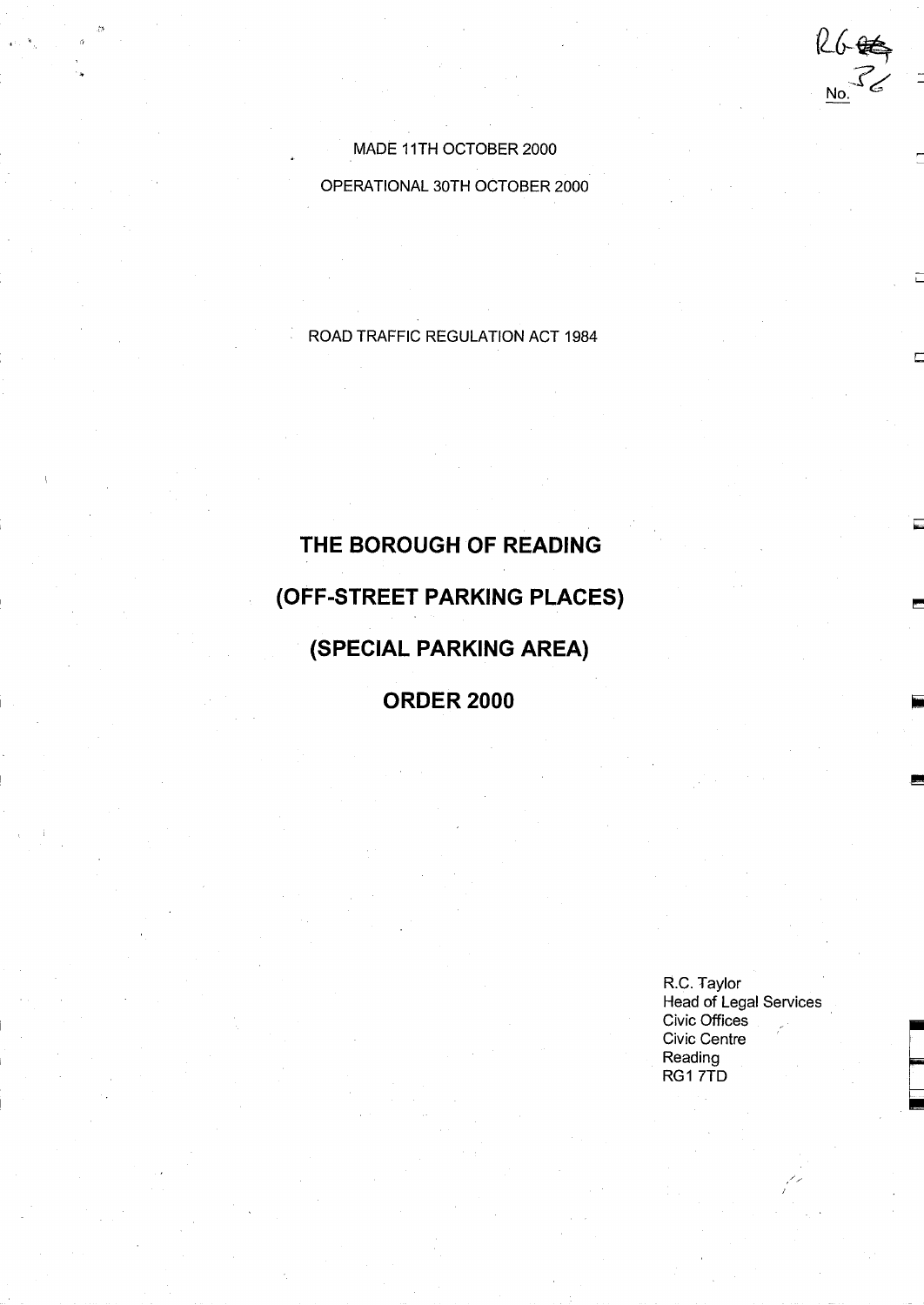MADE 11TH OCTOBER 2000

OPERATIONAL 30TH OCTOBER 2000

ROAD TRAFFIC REGULATION ACT <sup>1984</sup>

# THE BOROUGH OF READING (OFF-STREET PARKING PLACES) (SPECIAL PARKING AREA)

ORDER 2000

R.C. Taylor Head of Legal Services Civic Offices Civic Centre Reading RG1 7TD

 $26\n  
\n8\n  
\n8\n  
\n10\n  
\n10\n  
\n2\n  
\n5\n  
\n10\n  
\n10\n  
\n10\n  
\n10\n  
\n10\n  
\n10\n  
\n10\n  
\n10\n  
\n10\n  
\n10\n  
\n10\n  
\n10\n  
\n10\n  
\n10\n  
\n10\n  
\n10\n  
\n10\n  
\n10\n  
\n10\n  
\n10\n  
\n10\n  
\n10\n  
\n10\n  
\n10\n  
\n10\n  
\n10\n  
\n10\n  
\n10\n  
\n10\n  
\n10\n  
\n10$ 

 $\frac{1}{2}$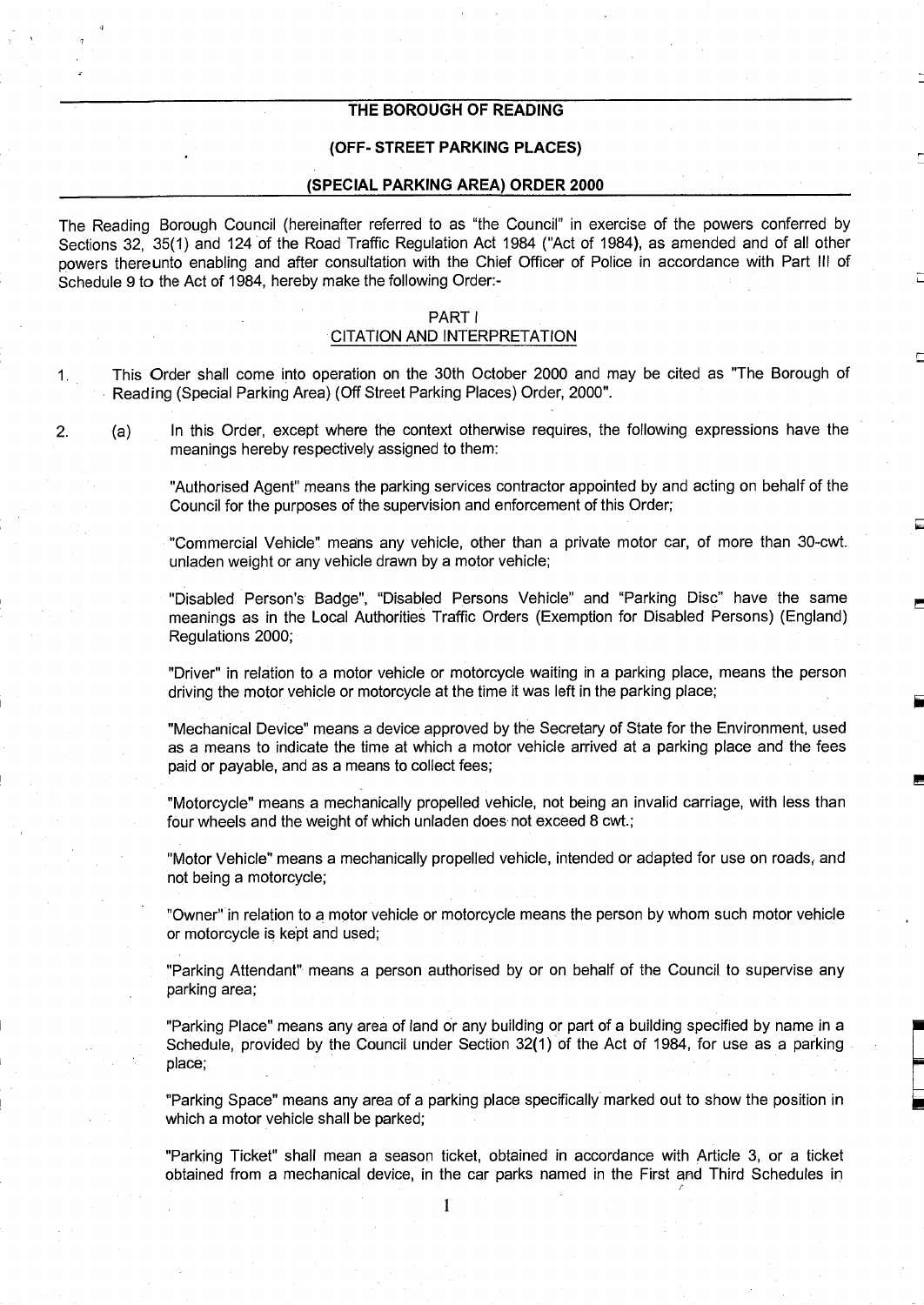#### THE BOROUGH OF READING

#### (OFF- STREET PARKING PLACES)

#### (SPECIAL PARKING AREA) ORDER 2000

The Reading Borough Council (hereinafter referred to as "the Council" in exercise of the powers conferred by Sections 32, 35(1) and 124 of the Road Traffic Regulation Act 1984 ("Act of 1984), as amended and of all other powers thereunto enabling and after consultation with the Chief Officer of Police in accordance with Part III of Schedule 9 to the Act of 1984, hereby make the following Order:-

#### PART <sup>I</sup>

#### CITATION AND INTERPRETATION

<sup>1</sup> . This Order shall come into operation on the 30th October 2000 and may be cited as "The Borough of Reading (Special Parking Area) (Off Street Parking Places) Order, 2000".

2. (a) In this Order, except where the context otherwise requires, the following expressions have the meanings hereby respectively assigned to them:

> "Authorised Agent" means the parking services contractor appointed by and acting on behalf of the Council for the purposes of the supervision and enforcement of this Order;

> "Commercial Vehicle" means any vehicle, other than a private motor car, of more than 30-cwt. unladen weight or any vehicle drawn by a motor vehicle;

> "Disabled Person's Badge", "Disabled Persons Vehicle" and "Parking Disc" have the same meanings as in the Local Authorities Traffic Orders (Exemption for Disabled Persons) (England) Regulations 2000;

> "Driver" in relation to a motor vehicle or motorcycle waiting in a parking place, means the person driving the motor vehicle or motorcycle at the time it was left in the parking place;

> "Mechanical Device" means a device approved by the Secretary of State for the Environment, used as a means to indicate the time at which a motor vehicle arrived at a parking place and the fees paid or payable, and as a means to collect fees;

> "Motorcycle" means a mechanically propelled vehicle, not being an invalid carriage, with less than four wheels and the weight of which unladen does not exceed 8 cwt.;

> "Motor Vehicle" means a mechanically propelled vehicle, intended or adapted for use on roads; and not being a motorcycle;

> "Owner" in relation to a motor vehicle or motorcycle means the person by whom such motor vehicle or motorcycle is kept and used;

> "Parking Attendant"- means a person authorised by or on behalf of the Council, to supervise any parking area;

> "Parking Place" means any area of land or any building or part of a building specified by name in a Schedule, provided by the Council under Section 32(1) of the Act of 1984, for use as a parking place;

> "Parking Space" means any area of a parking place specifically marked out to show the position in which a motor vehicle shall be parked;

> "Parking Ticket" shall mean a season ticket, obtained in accordance with Article 3, or a ticket obtained from a mechanical device, in the car parks named in the First and Third Schedules in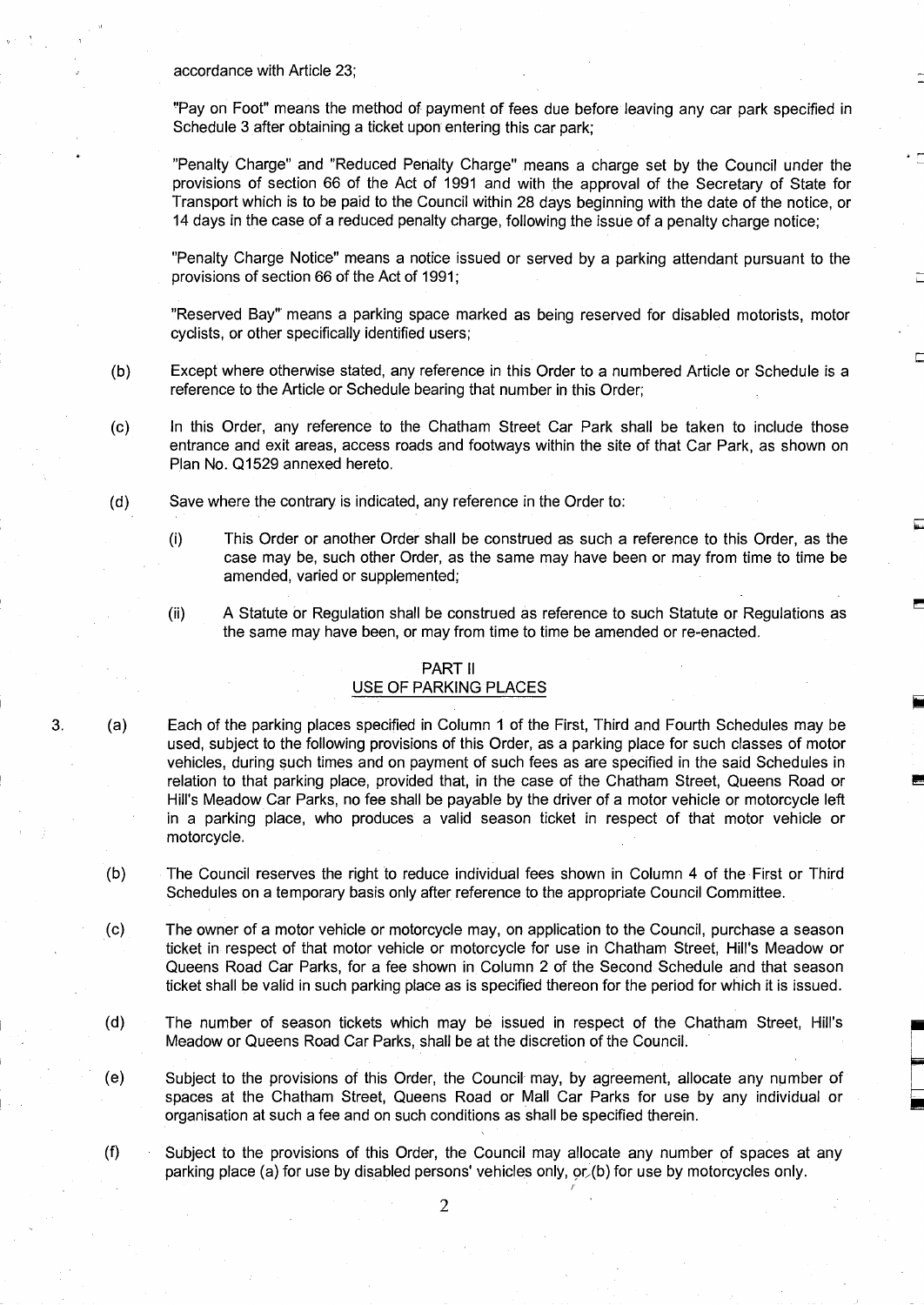accordance with Article 23;

"Pay on Foot" means the method of payment of fees due before leaving any car park specified in Schedule 3 after obtaining a ticket upon entering this car park;

"Penalty Charge" and "Reduced Penalty Charge" means a charge set by the Council under the provisions of section 66 of the Act of 1991 and with the approval of the Secretary of State for Transport which is to be paid to the Council within 28 days beginning with the date of the notice, or 14 days in the case of a reduced penalty charge, following the issue of a penalty charge notice;

"Penalty Charge Notice" means a notice issued or served by a parking attendant pursuant to the provisions of section 66 of the Act of 1991;

"Reserved Bay" means a parking space marked as being reserved for disabled motorists, motor cyclists, or other specifically identified users;

- (b) Except where otherwise stated, any reference in this Order to a numbered Article or Schedule is a reference to the Article or Schedule bearing that number in this Order;
- $(c)$ In this Order, any reference to the Chatham Street Car Park shall be taken to include those entrance and exit areas, access roads and footways within the site of that Car Park, as shown on Plan No. Q1529 annexed hereto.
- (d) Save where the contrary is indicated, any reference in the Order to:
	- $(i)$ This Order or another Order shall be construed as such a reference to this Order, as the case may be, such other Order, as the same may have been or may from time to time be amended, varied or supplemented;
	- (ii) A Statute or Regulation shall be construed as reference to such Statute or Regulations as the same may have been, or may from time to time be amended or re-enacted .

#### PART II

#### USE OF PARKING PLACES

- 3. (a) Each of the parking places specified in Column <sup>1</sup> of the First, Third and Fourth Schedules may be used, subject to the following provisions of this Order, as a parking place for such classes of motor vehicles, during such times and on payment of such fees as are specified in the said Schedules in relation to that parking place, provided that, in the case of the Chatham Street, Queens Road or Hill's Meadow Car Parks, no fee shall be payable by the driver of a motor vehicle or motorcycle left in a parking place, who produces a valid season ticket in respect of that motor vehicle or motorcycle .
	- (b) The Council reserves the right to reduce individual fees shown in Column 4 of the First or Third Schedules on a temporary basis only after reference to the appropriate Council Committee.
	- (c) The owner of a motor vehicle or motorcycle may, on application to the Council, purchase a season ticket in respect of that motor vehicle or motorcycle for use in Chatham Street, Hill's Meadow or Queens Road Car Parks, for a fee shown in Column 2 of the Second Schedule and that season ticket shall be valid in such parking place as is specified thereon for the period for which it is issued .
	- (d) The number of season tickets which may be issued in respect of the Chatham Street, Hill's Meadow or Queens Road Car Parks, shall be at the discretion of the Council.
	- (e) Subject to the provisions of this Order, the Council may, by agreement, allocate any number of spaces at the Chatham Street, Queens Road or Mall Car Parks for use by any individual or organisation at such a fee and on such conditions as shall be specified therein .
	- (f) Subject to the provisions of this Order, the Council may allocate any number of spaces at any parking place (a) for use by disabled persons' vehicles only, ar,(b) for use by motorcycles only.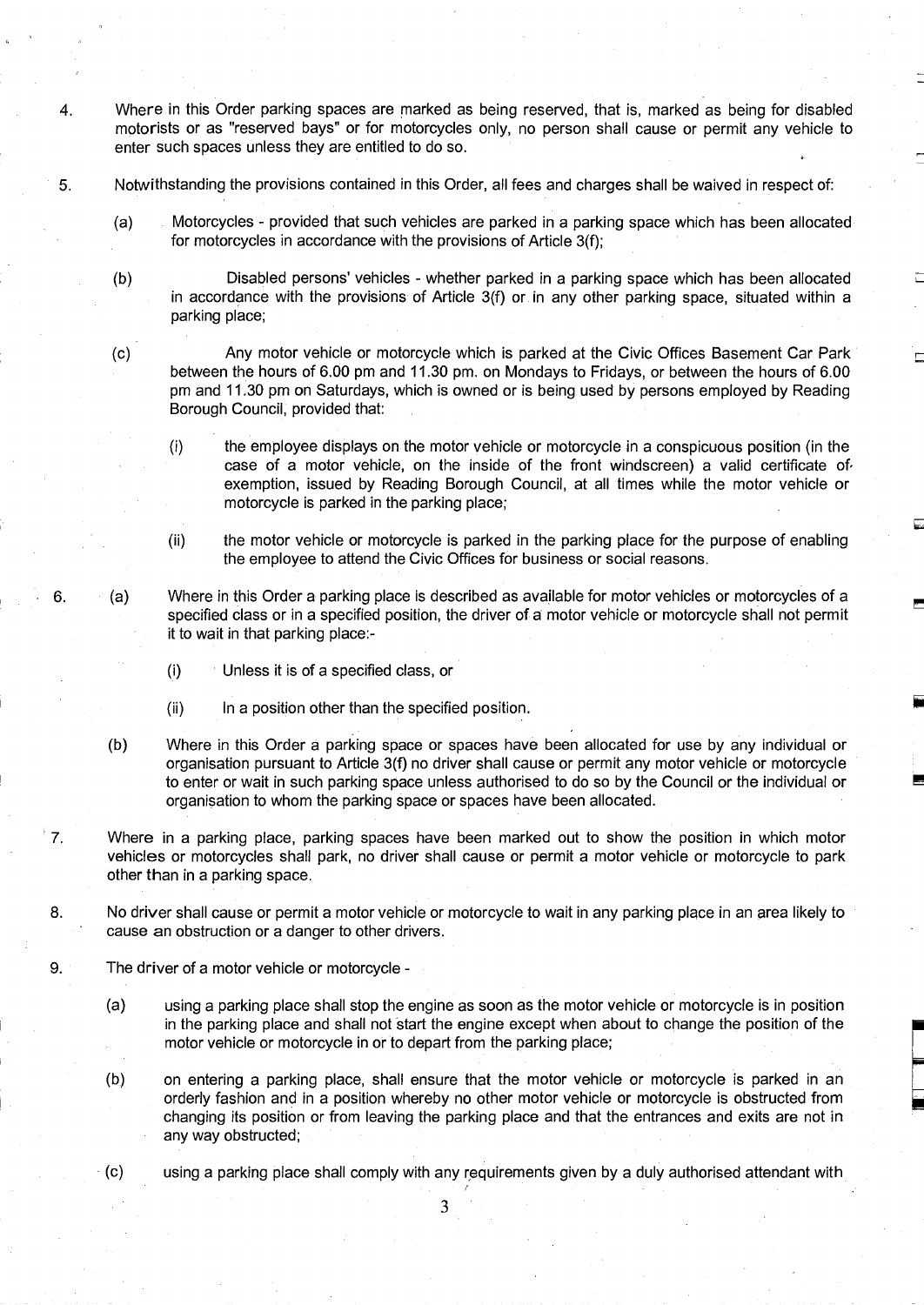4. Where in this Order parking spaces are marked as being reserved, that is, marked as being for disabled motorists or as "reserved bays" or for motorcycles only, no person shall cause or permit any vehicle to enter such spaces unless they are entitled to do so.

5 . Notwithstanding the provisions contained in this Order, all fees and charges shall be waived in respect of:

- (a) Motorcycles provided that such vehicles are parked in a parking space which has been allocated for motorcycles in accordance with the provisions of Article 3(f);
- (b) Disabled persons' vehicles whether parked in a parking space which has been allocated in accordance with the provisions of Article 3(f) or in any other parking space, situated within a parking place;

6.

(c) Any motor vehicle or motorcycle which is parked at the Civic Offices Basement Car Park between the hours of 6.00 pm and 11.30 pm. on Mondays to Fridays, or between the hours of 6.00 pm and <sup>11</sup> .30 pm on Saturdays, which is owned or is being used by persons employed by Reading Borough Council, provided that:

- $(i)$ the employee displays on the motor vehicle or motorcycle in a conspicuous position (in the case of a motor vehicle, on the inside of the front windscreen) a valid certificate of, exemption, issued by Reading Borough Council, at all times while the motor vehicle or motorcycle is parked in the parking place;
- (ii) the motor vehicle or motorcycle is parked in the parking place for the purpose of enabling the employee to attend the Civic Offices for business or social reasons.
- (a) Where in this Order a parking place is described as available for motor vehicles or motorcycles of a specified class or in a specified position, the driver of a motor vehicle or motorcycle shall not permit it to wait in that parking place:-
	- (i) Unless it is of a specified class, or
	- $(ii)$  In a position other than the specified position.
- (b) Where in this Order a parking space or spaces have been allocated for use by any individual or organisation pursuant to Article 3(f) no driver shall cause or permit any motor vehicle or motorcycle to enter or wait in such parking space unless authorised to do so by the Council or the individual or organisation to whom the parking space or spaces have been allocated.
- ੈ 7. Where in a parking place, parking spaces have been marked out to show the position in which motor vehicles or motorcycles shall park, no driver shall cause or permit a motor vehicle or motorcycle to park other than in a parking space.
- 8. No driver shall cause or permit a motor vehicle or motorcycle to wait in any parking place in an area likely to cause an obstruction or a danger to other drivers.
- 9. The driver of a motor vehicle or motorcycle
	- (a) using a parking place shall stop the engine as soon as the motor vehicle or motorcycle is in position in the parking place and shall not start the engine except when about to change the position of the motor vehicle or motorcycle in or to depart from the parking place;
	- (b) on entering a parking place, shall ensure that the motor vehicle or motorcycle is parked in an orderly fashion and in a position whereby no other motor vehicle or motorcycle is obstructed from changing its position or from leaving the parking place and that the entrances and exits are not in any way obstructed;
	- (c) using a parking place shall comply with any requirements given by a duly authorised attendant with

r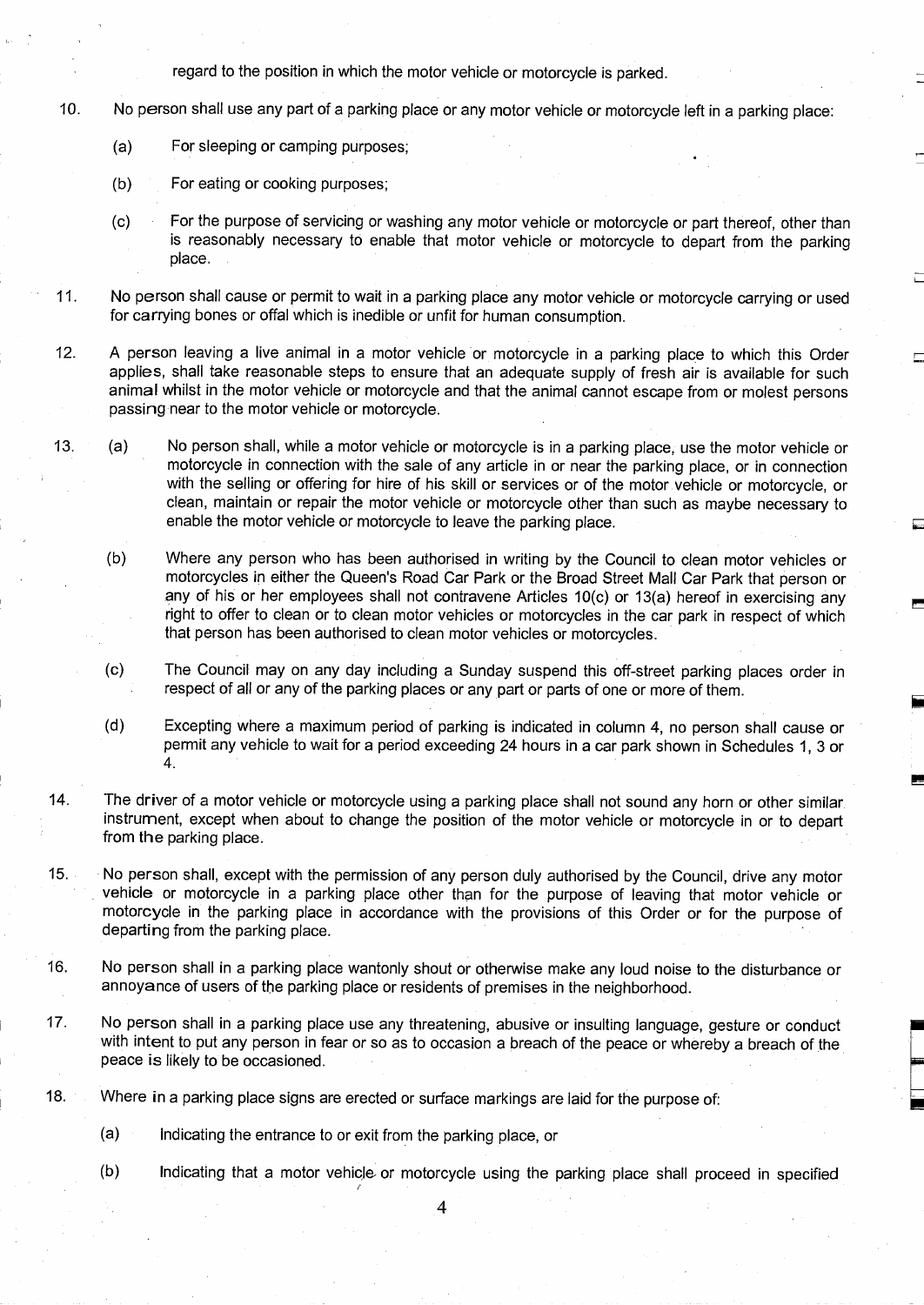regard to the position in which the motor vehicle or motorcycle is parked .

- 10. No person shall use any part of a parking place or any motor vehicle or motorcycle left in a parking place:
	- (a) For sleeping or camping purposes;
	- (b) For eating or cooking purposes;
	- (c) For the purpose of servicing or washing any motor vehicle or motorcycle or part thereof, other than is reasonably necessary to enable that motor vehicle or motorcycle to depart from the parking place.
- 11 . No person shall cause or permit to wait in a parking place any motor vehicle or motorcycle carrying or used for carrying bones or offal which is inedible or unfit for human consumption.
- <sup>12</sup> . A person leaving a live animal in a motor vehicle or motorcycle in a parking place to which this Order applies, shall take reasonable steps to ensure that an adequate supply of fresh air is available for such animal whilst in the motor vehicle or motorcycle and that the animal cannot escape from or molest persons passing-near to the motor vehicle or motorcycle.
- 13 . (a) No person shall, while a motor vehicle or motorcycle is in a parking place, use the motor vehicle or motorcycle in connection with the sale of any article in or near the parking place, or in connection with the selling or offering for hire of his skill or services or of the motor vehicle or motorcycle, or clean, maintain or repair the motor vehicle or motorcycle other than such as maybe necessary to enable the motor vehicle or motorcycle to leave the parking place.

(b) Where any person who has been authorised in writing by the Council to clean motor vehicles or motorcycles in either the Queen's Road Car Park or the Broad Street Mall Car Park that person or any of his or her employees shall not contravene Articles 10(c) or 13(a) hereof in exercising any right to offer to clean or to clean motor vehicles or motorcycles in the car park in respect of which that person has been authorised to clean motor vehicles or motorcycles.

- (c) The Council may on any day including a Sunday suspend this off-street parking places order in respect of all or any of the parking places or any part or parts of one or more of them.
- (d) Excepting where <sup>a</sup> maximum period of parking is indicated in column 4, no person shall cause or permit any vehicle to wait for a period exceeding 24 hours in a car park shown in Schedules 1, 3 or 4.
- 14. The driver of <sup>a</sup> motor vehicle or motorcycle using <sup>a</sup> parking place shall not sound any horn or other similar instrument, except when about to change the position of the motor vehicle or motorcycle in or to depart from the parking place .
- 15. No person shall, except with the permission of any person duly authorised by the Council, drive any motor vehicle or motorcycle in a parking place other than for the purpose of leaving that motor vehicle or motorcycle in the parking place in accordance with the provisions of this Order or for the purpose of departing from the parking place.
- 16. No person shall in a parking place wantonly shout or otherwise make any loud noise to the disturbance or annoyance of users of the parking place or residents of premises in the neighborhood.
- 17. No person shall in a parking place use any threatening, abusive or insulting language, gesture or conduct with intent to put any person in fear or so as to occasion <sup>a</sup> breach of the peace or whereby a breach of the peace is likely to be occasioned.
- 18. Where in a parking place signs are erected or surface markings are laid for the purpose of:
	- (a) Indicating the entrance to or exit from the parking place, or

r

(b) Indicating that a motor vehicle- or motorcycle using the parking place shall proceed in specified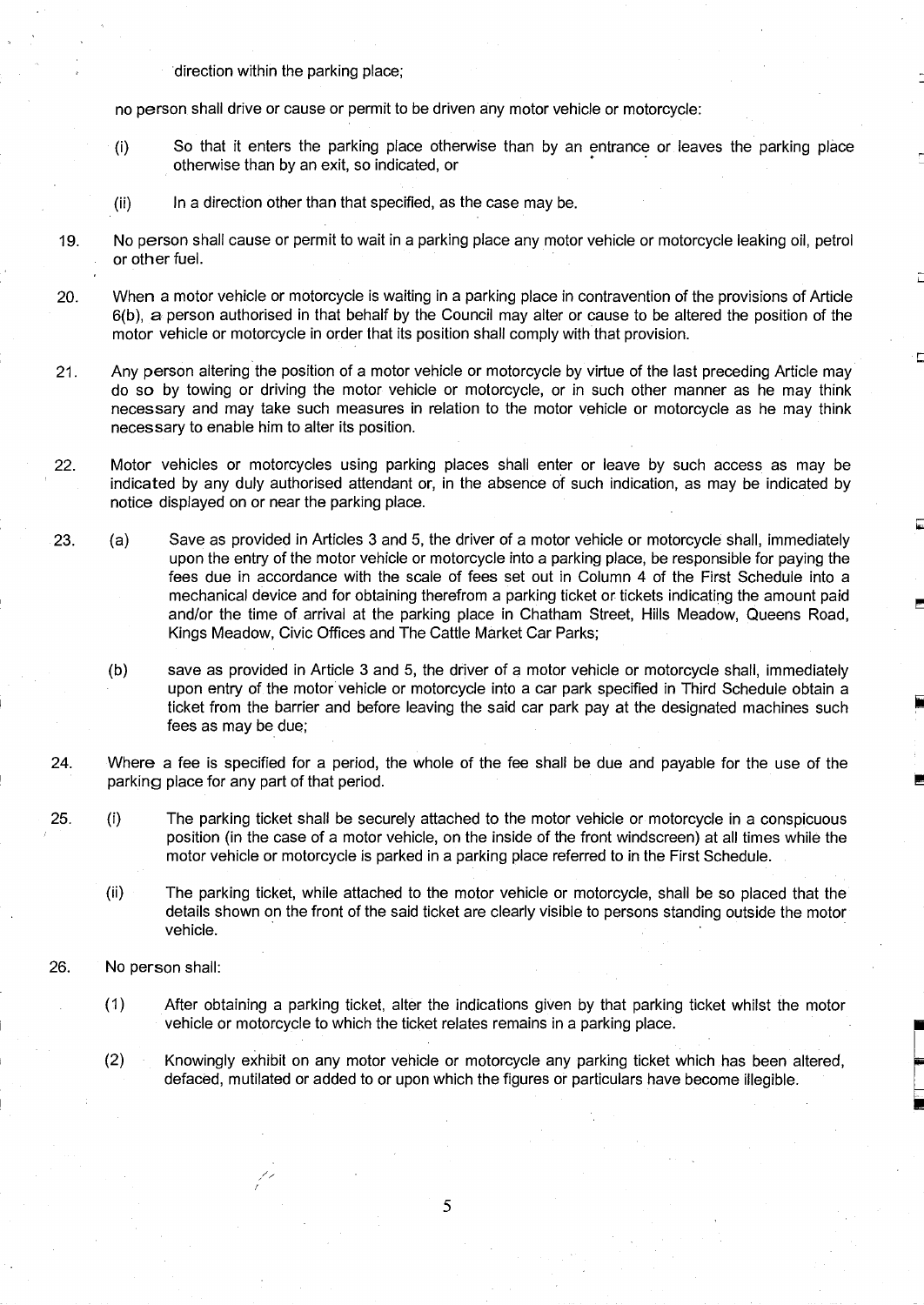direction within the parking place;

no person shall drive or cause or permit to be driven any motor vehicle or motorcycle :

- So that it enters the parking place otherwise than by an entrance or leaves the parking place  $(i)$ otherwise than by an exit, so indicated, or
- (ii) In a direction other than that specified, as the case may be.
- 19. No person shall cause or permit to wait in a parking place any motor vehicle or motorcycle leaking oil, petrol or other fuel.
- 20. When a motor vehicle or motorcycle is waiting in a parking place in contravention of the provisions of Article 6(b), a person authorised in that behalf by the Council may alter or cause to be altered the position of the motor vehicle or motorcycle in order that its position shall comply with that provision.
- 21. Any person altering the position of a motor vehicle or motorcycle by virtue of the last preceding Article may do so by towing or driving the motor vehicle or motorcycle, or in such other manner as he may think necessary and may take such measures in relation to the motor vehicle or motorcycle as he may think necessary to enable him to alter its position.
- 22 . Motor vehicles or motorcycles using parking places shall enter or leave by such access as may be indicated by any duly authorised attendant or, in the absence of such indication, as may be indicated by notice displayed on or near the parking place.
- 23. (a) Save as provided in Articles 3 and 5, the driver of a motor vehicle or motorcycle shall, immediately upon the entry of the motor vehicle or motorcycle into a parking place, be responsible for paying the fees due in accordance with the scale of fees set out in Column 4 of the First Schedule into a mechanical device and for obtaining therefrom a parking ticket or tickets indicating the amount paid and/or the time of arrival at the parking place in Chatham Street, Hills Meadow, Queens Road, Kings Meadow, Civic Offices and The Cattle Market Car Parks;

(b) save as provided in Article 3 and 5, the driver of a motor vehicle or motorcycle shall, immediately upon entry of the motor vehicle or motorcycle into a car park specified in Third Schedule obtain a ticket from the barrier and before leaving the said car park pay at the designated machines such fees as may be due;

24. Where a fee is specified for a period, the whole of the fee shall be due and payable for the use of the parking place for any part of that period.

25. (i) The parking ticket shall be securely attached to the motor vehicle or motorcycle in a conspicuous position (in the case of a motor vehicle, on the inside of the front windscreen) at all times while the motor vehicle or motorcycle is parked in a parking place referred to in the First Schedule .

- (ii) The parking ticket, while attached to the motor vehicle or motorcycle, shall be so placed that the details shown on the front of the said ticket are clearly visible to persons standing outside the motor vehicle.
- 26. No person shall:
	- (1) After obtaining a parking ticket, alter the indications given by that parking ticket whilst the motor vehicle or motorcycle to which the ticket relates remains in a parking place.
	- (2) Knowingly exhibit on any motor vehicle or motorcycle any parking ticket which has been altered, defaced, mutilated or added to or upon which the figures or particulars have become illegible .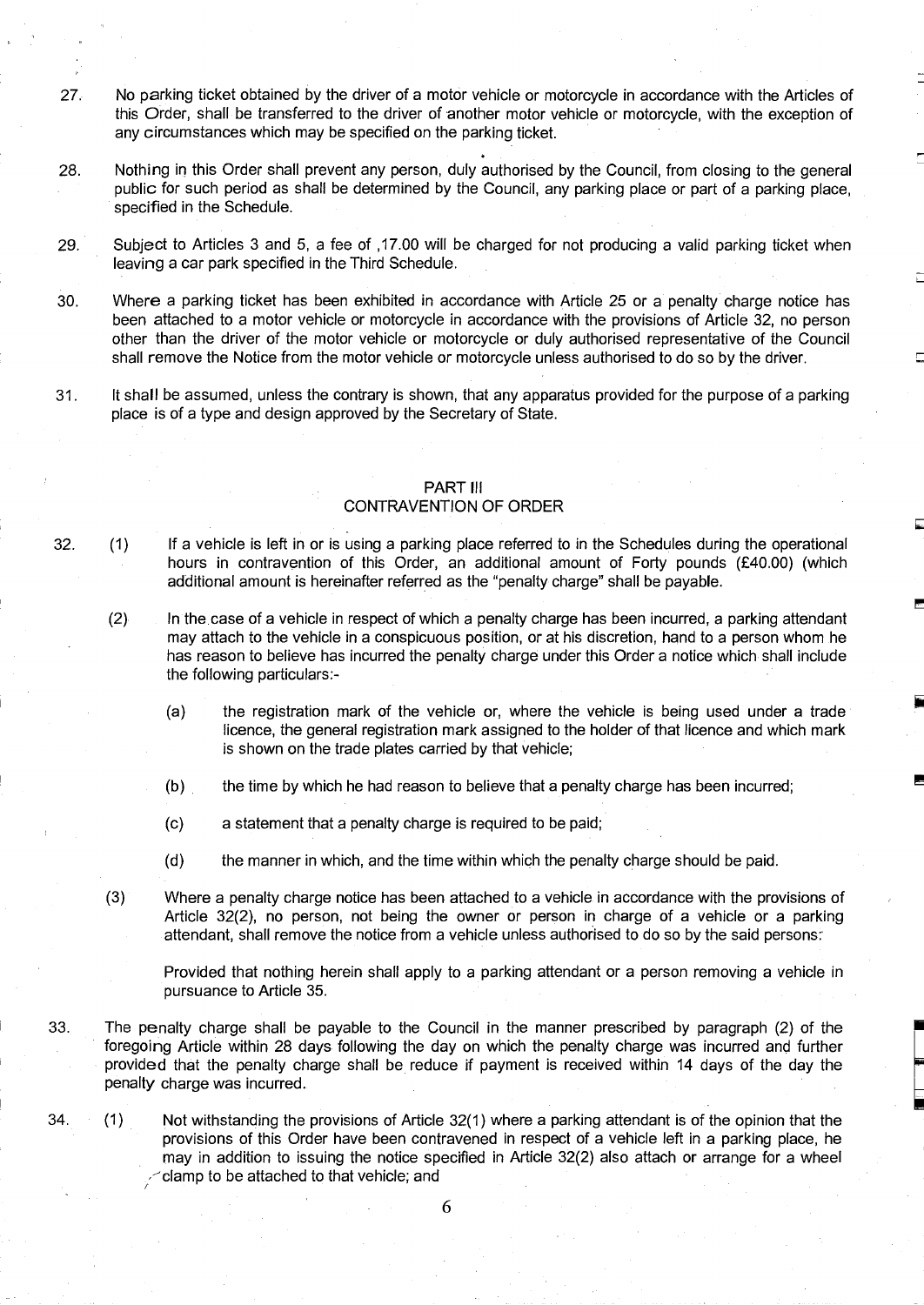- 27 . No parking ticket obtained by the driver of a motor vehicle or motorcycle in accordance with the Articles of this Order, shall be transferred to the driver of another motor vehicle or motorcycle, with the exception of any circumstances which may be specified on the parking ticket.
- 28 . Nothing in this Order shall prevent any person, duly authorised by the Council, from closing to the general public for such period as shall be determined by the Council, any parking place or part of a parking place, specified in the Schedule.
- 29. Subject to Articles 3 and 5, a fee of ,17 .00 will be charged for not producing a valid parking ticket when leaving a car park specified in the Third Schedule.
- 30. Where a parking ticket has been exhibited in accordance with Article 25 or a penalty charge notice has been attached to a motor vehicle or motorcycle in accordance with the provisions of Article 32, no person other than the driver of the motor vehicle or motorcycle or duly authorised representative of the Council shall remove the Notice from the motor vehicle or motorcycle unless authorised to do so by the driver .
- 31 . It shall be assumed, unless the contrary is shown, that any apparatus provided for the purpose of a parking place is of a type and design approved by the Secretary of State.

### PART III

#### CONTRAVENTION OF ORDER

32. (1) If a vehicle is left in or is using a parking place referred to in the Schedules during the operational hours in contravention of this Order, an additional amount of Forty pounds (£40.00) (which additional amount is hereinafter referred as the "penalty charge" shall be payable.

(2) In the.case of a vehicle in respect of which a penalty charge has been incurred, a parking attendant may attach to the vehicle in a conspicuous position, or at his discretion, hand to a person whom he has reason to believe has incurred the penalty charge under this Order a notice which shall include the following particulars:-

- (a) the registration mark of the vehicle or, where the vehicle is being used under a trade licence, the general registration mark assigned to the holder of that licence and which mark is shown on the trade plates carried by that vehicle;
- (b) . the time by which he had reason to believe that a penalty charge has been incurred;
- (c) a statement that a penalty charge is required to be paid ;
- (d) the manner in which, and the time within which the penalty charge should be paid.
- $(3)$ Where a penalty charge notice has been attached to a vehicle in accordance with the provisions of Article 32(2), no person, not being the owner or person in charge of a vehicle or a parking attendant, shall remove the notice from a vehicle unless authorised to do so by the said persons:

Provided that nothing herein shall apply to a parking attendant or a person removing a vehicle in pursuance to Article 35.

- 33. The penalty charge shall be payable to the Council in the manner prescribed by paragraph (2) of the foregoing Article within 28 days following the day on which the penalty charge was incurred and further provided that the penalty charge shall be reduce if payment is received within 14 days of the day the penalty charge was incurred.
- 34. (1) Not withstanding the provisions of Article 32(1) where a parking attendant is of the opinion that the provisions of this Order have been contravened in respect of a vehicle left in a parking place, he may in addition to issuing the notice specified in Article 32(2) also attach or arrange for a wheel delamp to be attached to that vehicle; and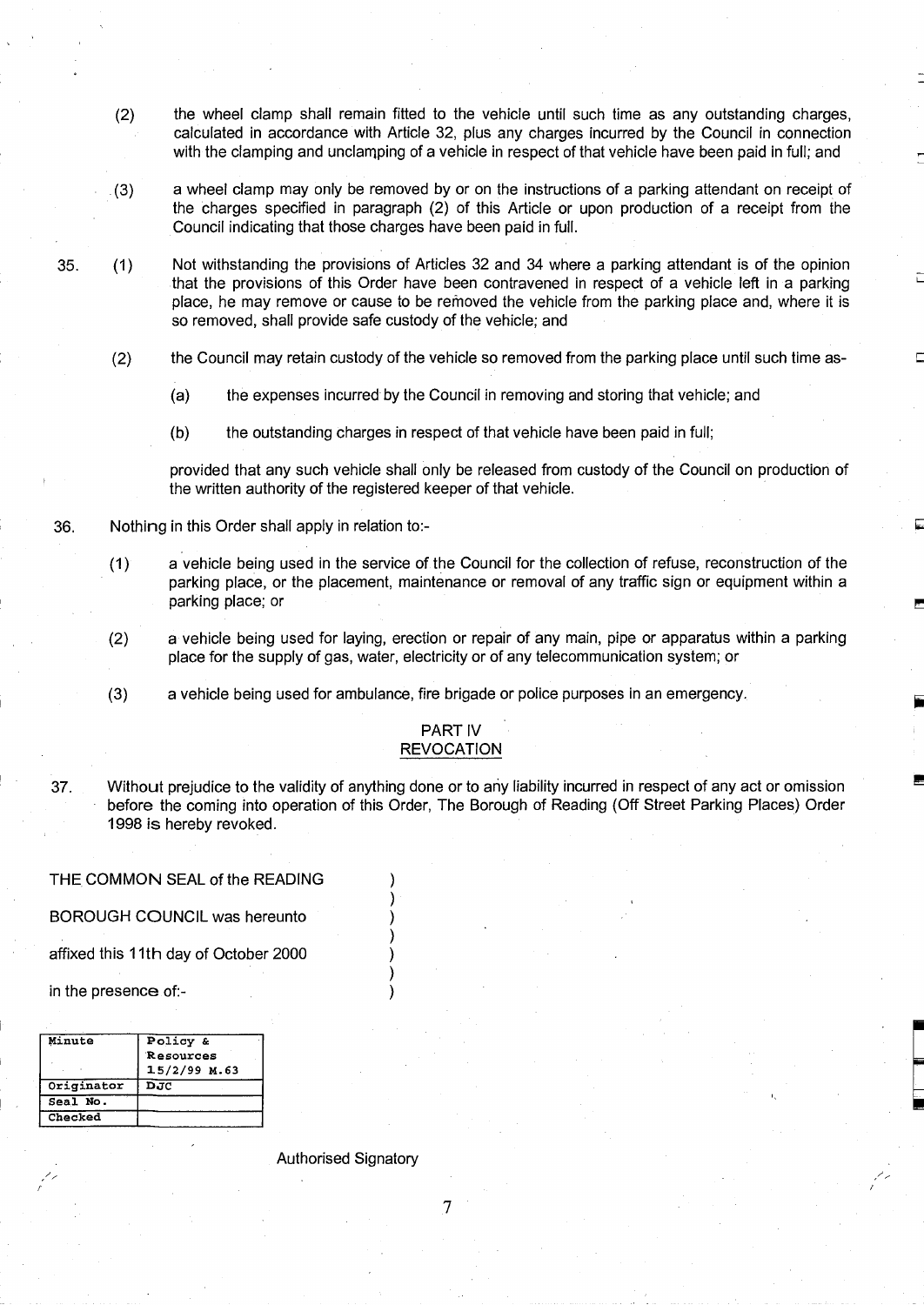- (2) the wheel clamp shall remain fitted to the vehicle until such time as any outstanding charges, calculated in accordance with Article 32, plus any charges incurred by the Council in connection with the clamping and unclamping of a vehicle in respect of that vehicle have been paid in full; and
- a wheel clamp may only be removed by or on the instructions of a parking attendant on receipt of  $(3)$ the charges specified in paragraph (2) of this Article or upon production of a receipt from the Council indicating that those charges have been paid in full.
- 35. (1) Not withstanding the provisions of Articles 32 and 34 where a parking attendant is of the opinion that the provisions of this Order have been contravened in respect of a vehicle left in a parking place, he may remove or cause to be removed the vehicle from the parking place and, where it is so removed, shall provide safe custody of the vehicle; and
	- (2) the Council may retain custody of the vehicle so removed from the parking place until such time as-
		- (a) the expenses incurred by the Council in removing and storing that vehicle; and
		- (b) the outstanding charges in respect of that vehicle have been paid in full;

provided that any such vehicle shall only be released from custody of the Council on production of the written authority of the registered keeper of that vehicle.

- 36. Nothing in this Order shall apply in relation to :-
	- (1) a vehicle being used in the service of the Council for the collection of refuse, reconstruction of the parking place, or the placement, maintenance or removal of any traffic sign or equipment within a parking place; or
	- (2) a vehicle being used for laying, erection or repair of any main, pipe or apparatus within a parking place for the supply of gas, water, electricity or of any telecommunication system; or
	- $(3)$ a vehicle being used for ambulance, fire brigade or police purposes in an emergency.

#### PART IV **REVOCATION**

37. Without prejudice to the validity of anything done or to any liability incurred in respect of any act or omission before the coming into operation of this Order, The Borough of Reading (Off Street Parking Places) Order 1998 is hereby revoked.

#### THE COMMON SEAL of the READING

BOROUGH COUNCIL was hereunto )

affixed this 11th day of October 2000 )

in the presence of:-

| Minute     | Policy &       |
|------------|----------------|
|            | Resources      |
|            | $15/2/99$ M.63 |
| Originator | DJC            |
| Seal No.   |                |
| Checked    |                |

Authorised Signatory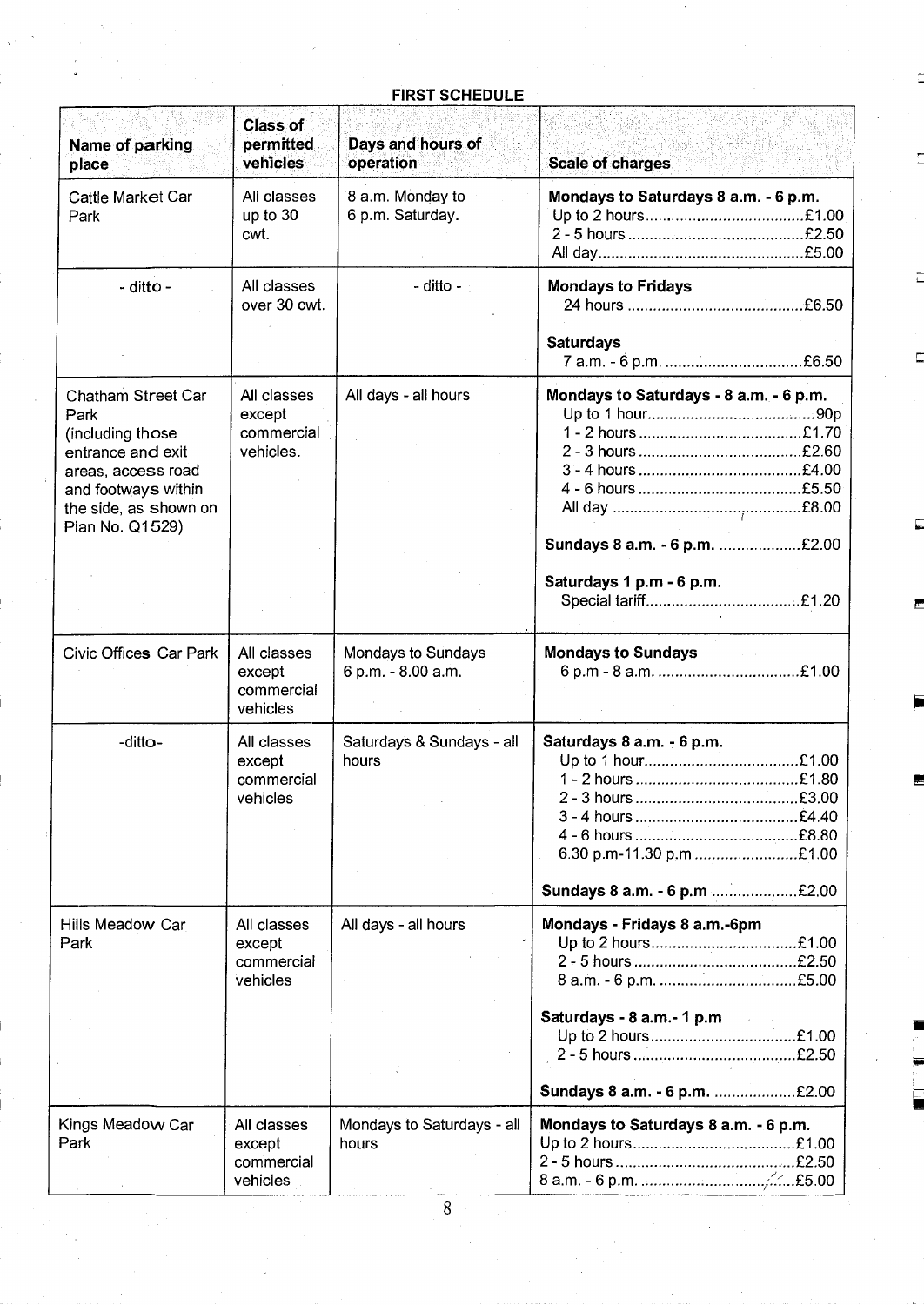## FIRST SCHEDULE

| Name of parking<br>place                                                                                                                                     | <b>Class of</b><br>permitted<br>vehicles         | Days and hours of<br>operation           | <b>Scale of charges</b>                                                                             |
|--------------------------------------------------------------------------------------------------------------------------------------------------------------|--------------------------------------------------|------------------------------------------|-----------------------------------------------------------------------------------------------------|
| Cattle Market Car<br>Park                                                                                                                                    | All classes<br>up to 30<br>cwt.                  | 8 a.m. Monday to<br>6 p.m. Saturday.     | Mondays to Saturdays 8 a.m. - 6 p.m.                                                                |
| - ditto -                                                                                                                                                    | All classes<br>over 30 cwt.                      | - ditto - $\overline{\phantom{a}}$       | <b>Mondays to Fridays</b>                                                                           |
|                                                                                                                                                              |                                                  |                                          | <b>Saturdays</b>                                                                                    |
| Chatham Street Car<br>Park<br>(including those<br>entrance and exit<br>areas, access road<br>and footways within<br>the side, as shown on<br>Plan No. Q1529) | All classes<br>except<br>commercial<br>vehicles. | All days - all hours                     | Mondays to Saturdays - 8 a.m. - 6 p.m.<br>Sundays 8 a.m. - 6 p.m. £2.00<br>Saturdays 1 p.m - 6 p.m. |
| Civic Offices Car Park                                                                                                                                       | All classes<br>except<br>commercial<br>vehicles  | Mondays to Sundays<br>6 p.m. - 8.00 a.m. | <b>Mondays to Sundays</b>                                                                           |
| -ditto-                                                                                                                                                      | All classes<br>except<br>commercial<br>vehicles  | Saturdays & Sundays - all<br>hours       | Saturdays 8 a.m. - 6 p.m.<br>6.30 p.m-11.30 p.m £1.00                                               |
|                                                                                                                                                              |                                                  |                                          | Sundays 8 a.m. - 6 p.m £2.00                                                                        |
| Hills Meadow Car<br>Park                                                                                                                                     | All classes<br>except<br>commercial<br>vehicles  | All days - all hours                     | Mondays - Fridays 8 a.m.-6pm<br>Up to 2 hours£1.00<br>Saturdays - 8 a.m.- 1 p.m                     |
| Kings Meadow Car<br>Park                                                                                                                                     | All classes<br>except<br>commercial<br>vehicles  | Mondays to Saturdays - all<br>hours      | Sundays 8 a.m. - 6 p.m. £2.00<br>Mondays to Saturdays 8 a.m. - 6 p.m.                               |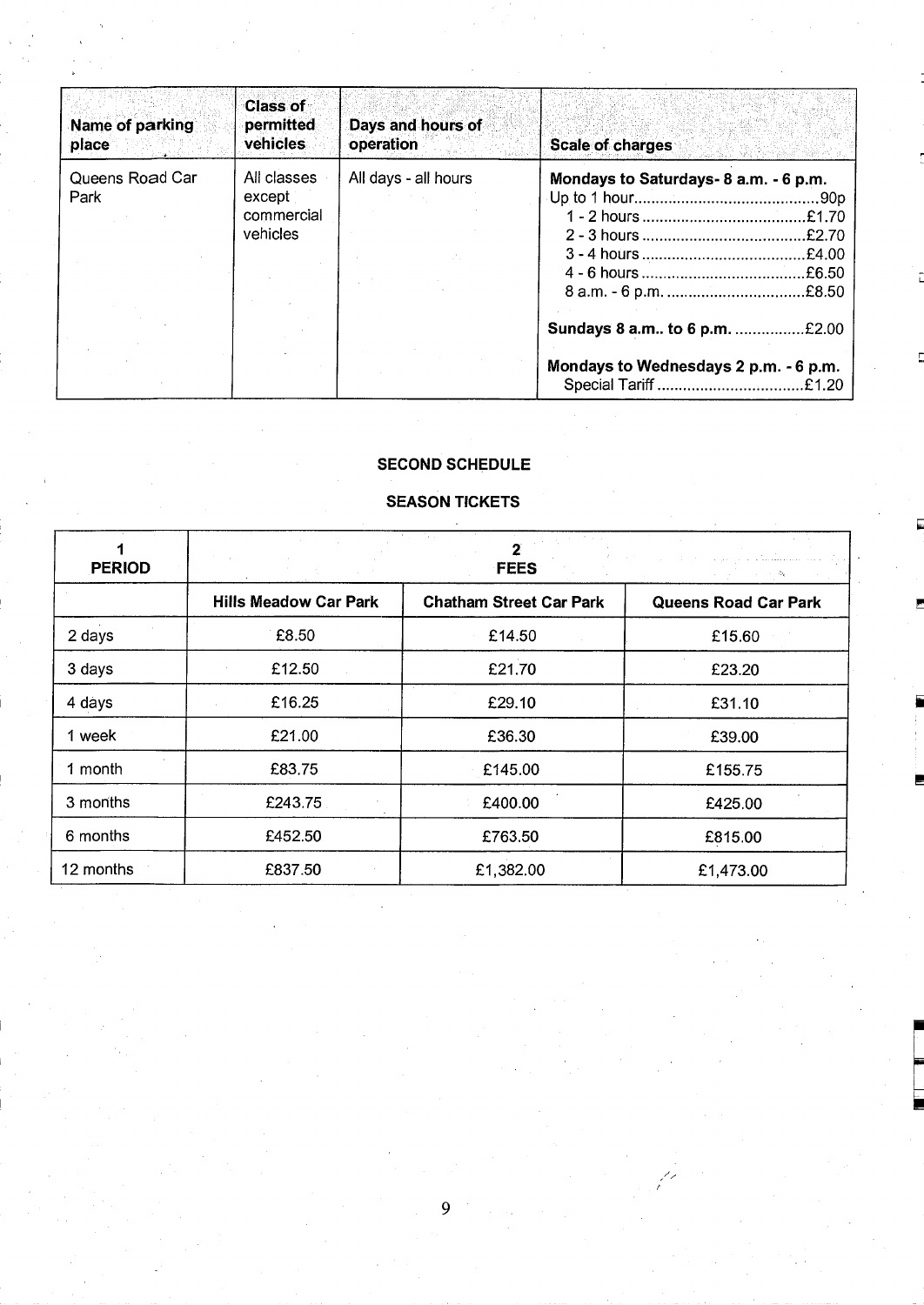| Name of parking<br>place | <b>Class of</b><br>permitted<br>vehicles        | Days and hours of<br>operation | Scale of charges                                                       |
|--------------------------|-------------------------------------------------|--------------------------------|------------------------------------------------------------------------|
| Queens Road Car<br>Park  | All classes<br>except<br>commercial<br>vehicles | All days - all hours           | Mondays to Saturdays- 8 a.m. - 6 p.m.<br>£2.70                         |
|                          |                                                 |                                | Sundays 8 a.m to 6 p.m. £2.00<br>Mondays to Wednesdays 2 p.m. - 6 p.m. |

## SECOND SCHEDULE

## SEASON TICKETS

| <b>PERIOD</b> |                              | ستششد والرامي والأرادي الأرادي<br>经营业 医水管 |                             |
|---------------|------------------------------|-------------------------------------------|-----------------------------|
|               | <b>Hills Meadow Car Park</b> | <b>Chatham Street Car Park</b>            | <b>Queens Road Car Park</b> |
| 2 days        | £8.50                        | £14.50                                    | £15.60                      |
| 3 days        | £12.50                       | £21.70                                    | £23.20                      |
| 4 days        | £16.25                       | £29.10                                    | £31.10                      |
| 1 week        | £21.00                       | £36.30                                    | £39.00                      |
| 1 month       | £83.75                       | £145.00                                   | £155.75                     |
| 3 months      | £243.75                      | £400.00                                   | £425.00                     |
| 6 months      | £452.50                      | £763.50                                   | £815.00                     |
| 12 months     | £837.50                      | £1,382.00                                 | £1,473.00                   |